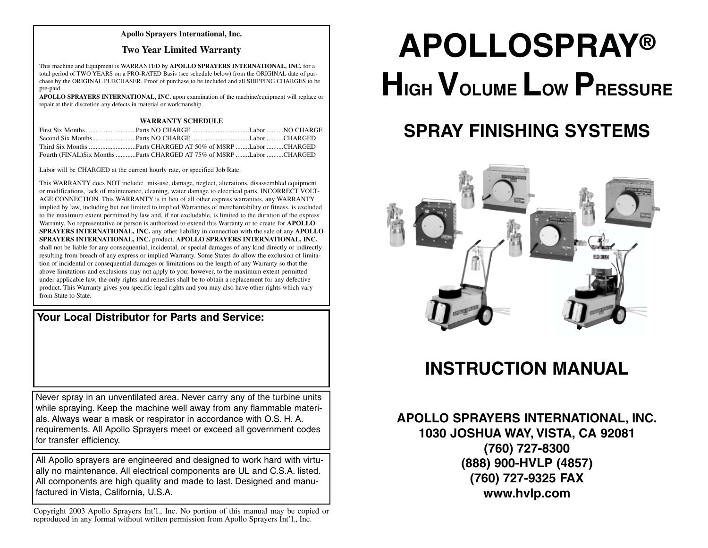#### **Apollo Sprayers International, Inc.**

#### **Two Year Limited Warranty**

This machine and Equipment is WARRANTED by **APOLLO SPRAYERS INTERNATIONAL, INC.** for a total period of TWO YEARS on a PRO-RATED Basis (see schedule below) from the ORIGINAL date of purchase by the ORIGINAL PURCHASER. Proof of purchase to be included and all SHIPPING CHARGES to be pre-paid.

**APOLLO SPRAYERS INTERNATIONAL, INC.** upon examination of the machine/equipment will replace or repair at their discretion any defects in material or workmanship.

#### **WARRANTY SCHEDULE**

| Fourth (FINAL)Six Months Parts CHARGED AT 75% of MSRP Labor CHARGED |  |
|---------------------------------------------------------------------|--|

Labor will be CHARGED at the current hourly rate, or specified Job Rate.

This WARRANTY does NOT include: mis-use, damage, neglect, alterations, disassembled equipment or modifications, lack of maintenance, cleaning, water damage to electrical parts, INCORRECT VOLT-AGE CONNECTION. This WARRANTY is in lieu of all other express warranties, any WARRANTY implied by law, including but not limited to implied Warranties of merchantability or fitness, is excluded to the maximum extent permitted by law and, if not excludable, is limited to the duration of the express Warranty. No representative or person is authorized to extend this Warranty or to create for **APOLLO SPRAYERS INTERNATIONAL, INC.** any other liability in connection with the sale of any **APOLLO SPRAYERS INTERNATIONAL, INC.** product. **APOLLO SPRAYERS INTERNATIONAL, INC.** shall not be liable for any consequential, incidental, or special damages of any kind directly or indirectly resulting from breach of any express or implied Warranty. Some States do allow the exclusion of limitation of incidental or consequential damages or limitations on the length of any Warranty so that the above limitations and exclusions may not apply to you; however, to the maximum extent permitted under applicable law, the only rights and remedies shall be to obtain a replacement for any defective product. This Warranty gives you specific legal rights and you may also have other rights which vary from State to State.

**Your Local Distributor for Parts and Service:**

Never spray in an unventilated area. Never carry any of the turbine units while spraying. Keep the machine well away from any flammable materials. Always wear a mask or respirator in accordance with O.S. H. A. requirements. All Apollo Sprayers meet or exceed all government codes for transfer efficiency.

All Apollo sprayers are engineered and designed to work hard with virtually no maintenance. All electrical components are UL and C.S.A. listed. All components are high quality and made to last. Designed and manufactured in Vista, California, U.S.A.

Copyright 2003 Apollo Sprayers Int'l., Inc. No portion of this manual may be copied or reproduced in any format without written permission from Apollo Sprayers Int'l., Inc.

# **APOLLOSPRAY® HIGH VOLUME LOW PRESSURE**

# **SPRAY FINISHING SYSTEMS**



## **INSTRUCTION MANUAL**

**APOLLO SPRAYERS INTERNATIONAL, INC. 1030 JOSHUA WAY, VISTA, CA 92081 (760) 727-8300 (888) 900-HVLP (4857) (760) 727-9325 FAX www.hvlp.com**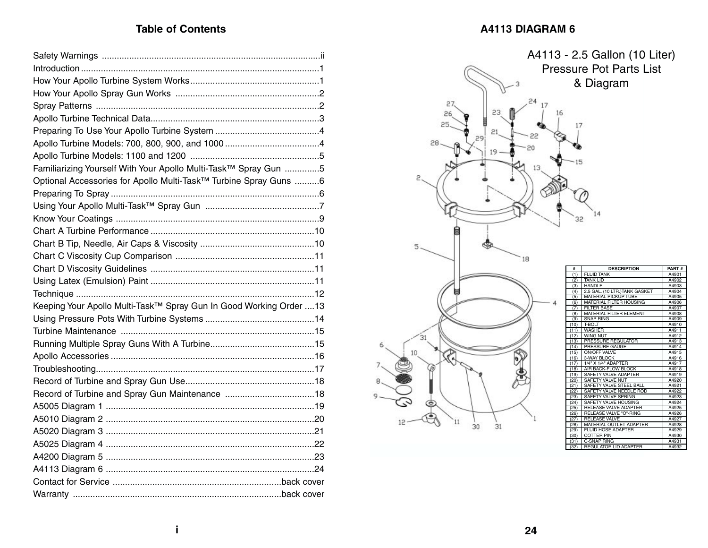#### Table of Contents **A4113 DIAGRAM 6**

| Familiarizing Yourself With Your Apollo Multi-Task™ Spray Gun 5     |  |
|---------------------------------------------------------------------|--|
| Optional Accessories for Apollo Multi-Task™ Turbine Spray Guns 6    |  |
|                                                                     |  |
|                                                                     |  |
|                                                                     |  |
|                                                                     |  |
|                                                                     |  |
|                                                                     |  |
|                                                                     |  |
|                                                                     |  |
|                                                                     |  |
| Keeping Your Apollo Multi-Task™ Spray Gun In Good Working Order  13 |  |
|                                                                     |  |
|                                                                     |  |
|                                                                     |  |
|                                                                     |  |
|                                                                     |  |
|                                                                     |  |
| Record of Turbine and Spray Gun Maintenance 18                      |  |
|                                                                     |  |
|                                                                     |  |
|                                                                     |  |
|                                                                     |  |
|                                                                     |  |
|                                                                     |  |
|                                                                     |  |
|                                                                     |  |

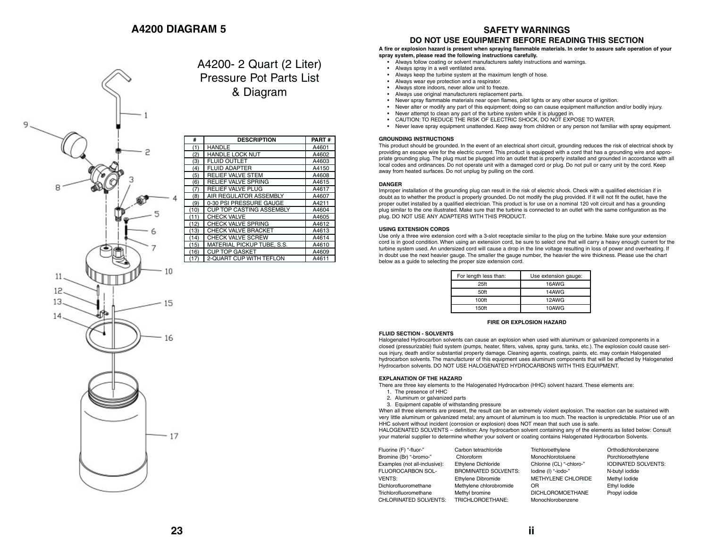

A4200- 2 Quart (2 Liter) Pressure Pot Parts List & Diagram

| #    | <b>DESCRIPTION</b>              | <b>PART#</b> |
|------|---------------------------------|--------------|
| (1)  | <b>HANDLE</b>                   | A4601        |
| (2)  | <b>HANDLE LOCK NUT</b>          | A4602        |
| (3)  | <b>FLUID OUTLET</b>             | A4603        |
| (4)  | <b>FLUID ADAPTER</b>            | A4150        |
| (5)  | <b>RELIEF VALVE STEM</b>        | A4608        |
| (6)  | <b>RELIEF VALVE SPRING</b>      | A4615        |
| (7)  | <b>RELIEF VALVE PLUG</b>        | A4617        |
| (8)  | AIR REGULATOR ASSEMBLY          | A4607        |
| (9)  | 0-30 PSI PRESSURE GAUGE         | A4211        |
| (10) | <b>CUP TOP CASTING ASSEMBLY</b> | A4604        |
| (11) | <b>CHECK VALVE</b>              | A4605        |
| (12) | <b>CHECK VALVE SPRING</b>       | A4612        |
| (13) | CHECK VALVE BRACKET             | A4613        |
| (14) | <b>CHECK VALVE SCREW</b>        | A4614        |
| (15) | MATERIAL PICKUP TUBE, S.S.      | A4610        |
| (16) | <b>CUP TOP GASKET</b>           | A4609        |
| (17) | 2-QUART CUP WITH TEFLON         | A4611        |

#### **SAFETY WARNINGS**

#### **DO NOT USE EQUIPMENT BEFORE READING THIS SECTION**

#### **A fire or explosion hazard is present when spraying flammable materials. In order to assure safe operation of your spray system, please read the following instructions carefully.**

- Always follow coating or solvent manufacturers safety instructions and warnings.
- Always spray in a well ventilated area.
- Always keep the turbine system at the maximum length of hose.
- Always wear eye protection and a respirator.
- Always store indoors, never allow unit to freeze.
- Always use original manufacturers replacement parts.
- Never spray flammable materials near open flames, pilot lights or any other source of ignition.
- Never alter or modify any part of this equipment; doing so can cause equipment malfunction and/or bodily injury.
- Never attempt to clean any part of the turbine system while it is plugged in.
- CAUTION: TO REDUCE THE RISK OF ELECTRIC SHOCK, DO NOT EXPOSE TO WATER.
- Never leave spray equipment unattended. Keep away from children or any person not familiar with spray equipment.

#### **GROUNDING INSTRUCTIONS**

This product should be grounded. In the event of an electrical short circuit, grounding reduces the risk of electrical shock by providing an escape wire for the electric current. This product is equipped with a cord that has a grounding wire and appropriate grounding plug. The plug must be plugged into an outlet that is properly installed and grounded in accordance with all local codes and ordinances. Do not operate unit with a damaged cord or plug. Do not pull or carry unit by the cord. Keep away from heated surfaces. Do not unplug by pulling on the cord.

#### **DANGER**

Improper installation of the grounding plug can result in the risk of electric shock. Check with a qualified electrician if in doubt as to whether the product is properly grounded. Do not modify the plug provided. If it will not fit the outlet, have the proper outlet installed by a qualified electrician. This product is for use on a nominal 120 volt circuit and has a grounding plug similar to the one illustrated. Make sure that the turbine is connected to an outlet with the same configuration as the plug. DO NOT USE ANY ADAPTERS WITH THIS PRODUCT.

#### **USING EXTENSION CORDS**

Use only a three wire extension cord with a 3-slot receptacle similar to the plug on the turbine. Make sure your extension cord is in good condition. When using an extension cord, be sure to select one that will carry a heavy enough current for the turbine system used. An undersized cord will cause a drop in the line voltage resulting in loss of power and overheating. If in doubt use the next heavier gauge. The smaller the gauge number, the heavier the wire thickness. Please use the chart below as a guide to selecting the proper size extension cord.

| For length less than: | Use extension gauge: |  |
|-----------------------|----------------------|--|
| 25 <sup>ft</sup>      | 16AWG                |  |
| 50ft                  | 14AWG                |  |
| 100 <sup>ft</sup>     | 12AWG                |  |
| 150 <sup>ft</sup>     | 10AWG                |  |

#### **FIRE OR EXPLOSION HAZARD**

#### **FLUID SECTION - SOLVENTS**

Halogenated Hydrocarbon solvents can cause an explosion when used with aluminum or galvanized components in a closed (pressurizable) fluid system (pumps, heater, filters, valves, spray guns, tanks, etc.). The explosion could cause serious injury, death and/or substantial property damage. Cleaning agents, coatings, paints, etc. may contain Halogenated hydrocarbon solvents. The manufacturer of this equipment uses aluminum components that will be affected by Halogenated Hydrocarbon solvents. DO NOT USE HALOGENATED HYDROCARBONS WITH THIS EQUIPMENT.

#### **EXPLANATION OF THE HAZARD**

There are three key elements to the Halogenated Hydrocarbon (HHC) solvent hazard. These elements are:

- 1. The presence of HHC
- 2. Aluminum or galvanized parts
- 3. Equipment capable of withstanding pressure

When all three elements are present, the result can be an extremely violent explosion. The reaction can be sustained with very little aluminum or galvanized metal; any amount of aluminum is too much. The reaction is unpredictable. Prior use of an HHC solvent without incident (corrosion or explosion) does NOT mean that such use is safe.

HALOGENATED SOLVENTS – definition: Any hydrocarbon solvent containing any of the elements as listed below: Consult your material supplier to determine whether your solvent or coating contains Halogenated Hydrocarbon Solvents.

| Fluorine (F) "-fluor-"        | Carbon tetrachloride        | Trichloroethylene        | Orthodichlorobenzene       |
|-------------------------------|-----------------------------|--------------------------|----------------------------|
| Bromine (Br) "-bromo-"        | Chloroform                  | Monochlorotoluene        | Porchloroethylene          |
| Examples (not all-inclusive): | Ethylene Dichloride         | Chlorine (CL) "-chloro-" | <b>IODINATED SOLVENTS:</b> |
| FLUOROCARBON SOL-             | <b>BROMINATED SOLVENTS:</b> | lodine (I) "-iodo-"      | N-butyl iodide             |
| <b>VENTS:</b>                 | Ethylene Dibromide          | METHYLENE CHLORIDE       | Methyl lodide              |
| Dichlorofluoromethane         | Methylene chlorobromide     | OR                       | Ethyl lodide               |
| Trichlorofluoromethane        | Methyl bromine              | <b>DICHLOROMOETHANE</b>  | Propyl iodide              |
| CHLORINATED SOLVENTS:         | TRICHLOROETHANE:            | Monochlorobenzene        |                            |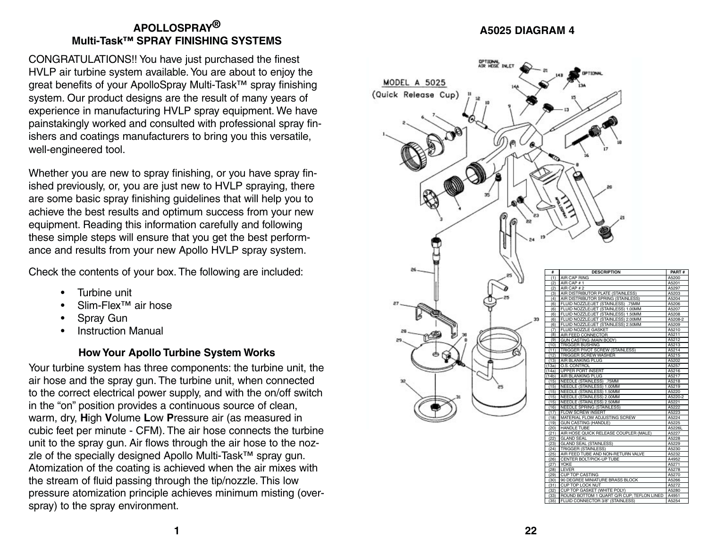## **APOLLOSPRAY® Multi-Task ™ SPRAY FINISHING SYSTEMS**

CONGRATULATIONS!! You have just purchased the finest HVLP air turbine system available. You are about to enjoy the great benefits of your ApolloSpray Multi-Task ™ spray finishing system. Our product designs are the result of many years of experience in manufacturing HVLP spray equipment. We have painstakingly worked and consulted with professional spray finishers and coatings manufacturers to bring you this versatile, well-engineered tool.

Whether you are new to spray finishing, or you have spray finished previously, or, you are just new to HVLP spraying, there are some basic spray finishing guidelines that will help you to achieve the best results and optimum success from your new equipment. Reading this information carefully and following these simple steps will ensure that you get the best performance and results from your new Apollo HVLP spray system.

Check the contents of your box. The following are included:

- Turbine unit
- Slim-Flex™ air hose
- Spray Gun
- Instruction Manual

## **How Your Apollo Turbine System Works**

Your turbine system has three components: the turbine unit, the air hose and the spray gun. The turbine unit, when connected to the correct electrical power supply, and with the on/off switch in the "on " position provides a continuous source of clean, warm, dry, **H**igh **V**olume **L**ow **P**ressure air (as measured in cubic feet per minute - CFM). The air hose connects the turbine unit to the spray gun. Air flows through the air hose to the nozzle of the specially designed Apollo Multi-Task™ spray gun. Atomization of the coating is achieved when the air mixes with the stream of fluid passing through the tip/nozzle. This low pressure atomization principle achieves minimum misting (overspray) to the spray environment.

#### **A5025 DIAGRAM 4**

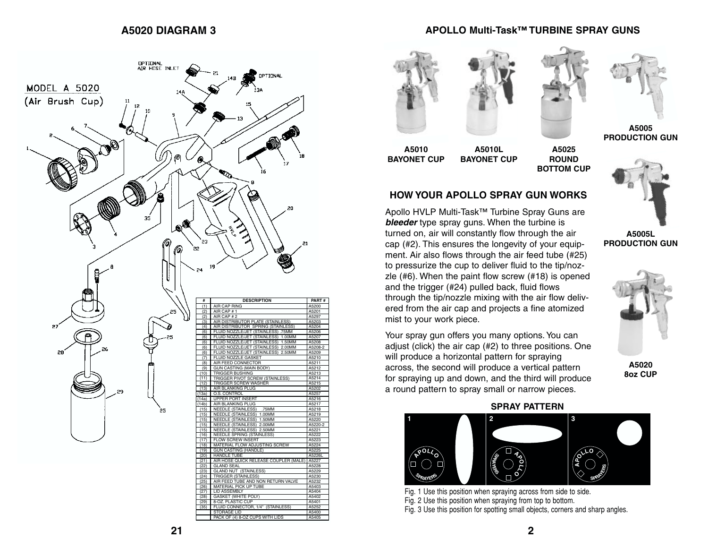#### **A5020 DIAGRAM 3**

#### **APOLLO Multi-Task™ TURBINE SPRAY GUNS**











**A5010 BAYONET CUP** **BAYONET CUP**

**A5025 ROUND BOTTOM CUP**

#### **HOW YOUR APOLLO SPRAY GUN WORKS**

**A5010L**

Apollo HVLP Multi-Task™ Turbine Spray Guns are *bleeder* type spray guns. When the turbine is turned on, air will constantly flow through the air cap (#2). This ensures the longevity of your equipment. Air also flows through the air feed tube (#25) to pressurize the cup to deliver fluid to the tip/nozzle (#6). When the paint flow screw (#18) is opened and the trigger (#24) pulled back, fluid flows through the tip/nozzle mixing with the air flow delivered from the air cap and projects a fine atomized mist to your work piece.

Your spray gun offers you many options. You can adjust (click) the air cap (#2) to three positions. One will produce a horizontal pattern for spraying across, the second will produce a vertical pattern for spraying up and down, and the third will produce a round pattern to spray small or narrow pieces.



**A5005L PRODUCTION GUN**

**A5020 8oz CUP**

#### **SPRAY PATTERN**



Fig. 1 Use this position when spraying across from side to side. Fig. 2 Use this position when spraying from top to bottom. Fig. 3 Use this position for spotting small objects, corners and sharp angles.

PACK OF (4) 8-OZ CUPS WITH LIDS

A5405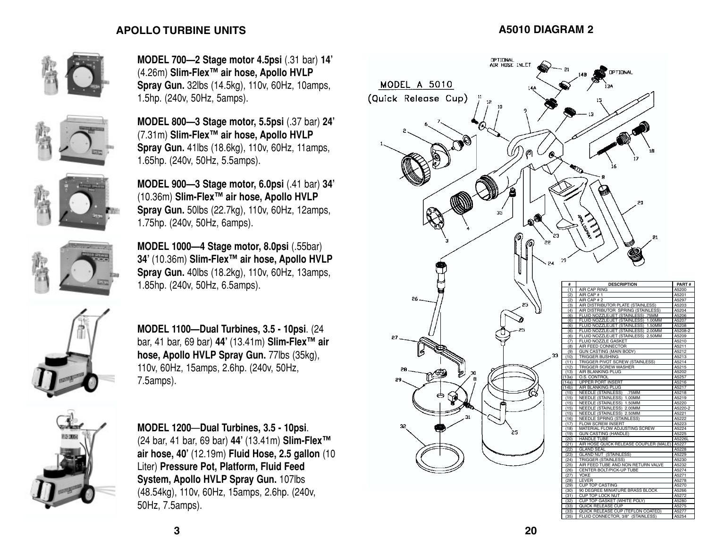#### **APOLLO TURBINE UNITS A5010 DIAGRAM 2**



**MODEL 700—2 Stage motor 4.5psi** (.31 bar) **14 '** (4.26m) **Slim-Flex ™ air hose, Apollo HVLP Spray Gun.** 32lbs (14.5kg), 110v, 60Hz, 10amps, 1.5hp. (240v, 50Hz, 5amps).



**MODEL 800 —3 Stage motor, 5.5psi** (.37 bar) **24 '** (7.31m) **Slim-Flex ™ air hose, Apollo HVLP Spray Gun.** 41lbs (18.6kg), 110v, 60Hz, 11amps, 1.65hp. (240v, 50Hz, 5.5amps).

**MODEL 900 —3 Stage motor, 6.0psi** (.41 bar) **34 '** (10.36m) **Slim-Flex ™ air hose, Apollo HVLP Spray Gun.** 50lbs (22.7kg), 110v, 60Hz, 12amps, 1.75hp. (240v, 50Hz, 6amps).



**MODEL 1000 —4 Stage motor, 8.0psi** (.55bar) **34 '** (10.36m) **Slim-Flex ™ air hose, Apollo HVLP Spray Gun.** 40lbs (18.2kg), 110v, 60Hz, 13amps, 1.85hp. (240v, 50Hz, 6.5amps).



**MODEL 1100 —Dual Turbines, 3.5 - 10psi**. (24 bar, 41 bar, 69 bar) **44 '** (13.41m) **Slim-Flex ™ air hose, Apollo HVLP Spray Gun.** 77lbs (35kg), 110v, 60Hz, 15amps, 2.6hp. (240v, 50Hz, 7.5amps).



**MODEL 1200** —**Dual Turbines, 3.5 - 10psi**. (24 bar, 41 bar, 69 bar) **44 '** (13.41m) **Slim-Flex ™ air hose, 40 '** (12.19m) **Fluid Hose, 2.5 gallon** (10 Liter) **Pressure Pot, Platform, Fluid Feed System, Apollo HVLP Spray Gun.** 107lbs (48.54kg), 110v, 60Hz, 15amps, 2.6hp. (240v, 50Hz, 7.5amps).

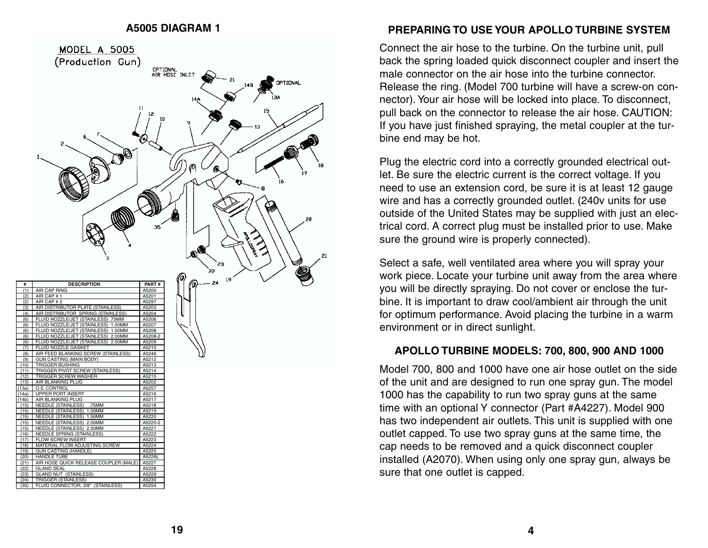#### **A5005 DIAGRAM 1**



#### **PREPARING TO USE YOUR APOLLO TURBINE SYSTEM**

Connect the air hose to the turbine. On the turbine unit, pull back the spring loaded quick disconnect coupler and insert the male connector on the air hose into the turbine connector. Release the ring. (Model 700 turbine will have a screw-on connector). Your air hose will be locked into place. To disconnect, pull back on the connector to release the air hose. CAUTION: If you have just finished spraying, the metal coupler at the turbine end may be hot.

Plug the electric cord into a correctly grounded electrical outlet. Be sure the electric current is the correct voltage. If you need to use an extension cord, be sure it is at least 12 gauge wire and has a correctly grounded outlet. (240v units for use outside of the United States may be supplied with just an electrical cord. A correct plug must be installed prior to use. Make sure the ground wire is properly connected).

Select a safe, well ventilated area where you will spray your work piece. Locate your turbine unit away from the area where you will be directly spraying. Do not cover or enclose the turbine. It is important to draw cool/ambient air through the unit for optimum performance. Avoid placing the turbine in a warm environment or in direct sunlight.

#### **APOLLO TURBINE MODELS: 700, 800, 900 AND 1000**

Model 700, 800 and 1000 have one air hose outlet on the side of the unit and are designed to run one spray gun. The model 1000 has the capability to run two spray guns at the same time with an optional Y connector (Part #A4227). Model 900 has two independent air outlets. This unit is supplied with one outlet capped. To use two spray guns at the same time, the cap needs to be removed and a quick disconnect coupler installed (A2070). When using only one spray gun, always be sure that one outlet is capped.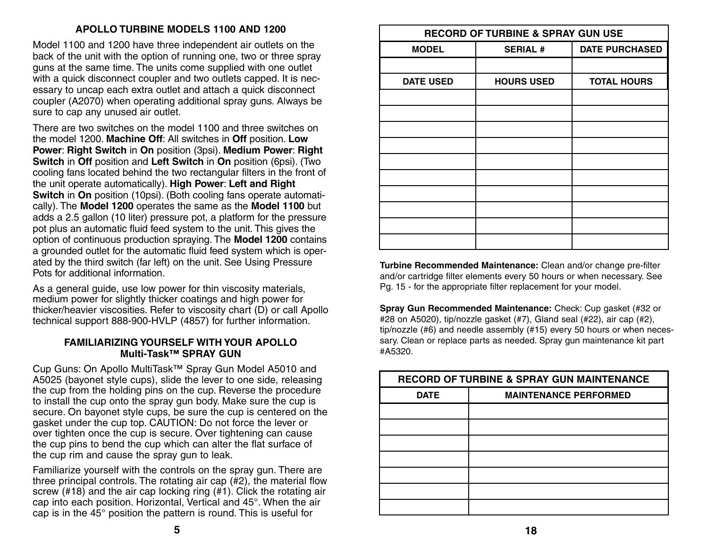#### **APOLLO TURBINE MODELS 1100 AND 1200**

Model 1100 and 1200 have three independent air outlets on the back of the unit with the option of running one, two or three spray guns at the same time. The units come supplied with one outlet with a quick disconnect coupler and two outlets capped. It is necessary to uncap each extra outlet and attach a quick disconnect coupler (A2070) when operating additional spray guns. Always be sure to cap any unused air outlet.

There are two switches on the model 1100 and three switches on the model 1200. **Machine Off**: All switches in **Off** position. **Low Power**: **Right Switch** in **On** position (3psi). **Medium Power**: **Right Switch** in **Off** position and **Left Switch** in **On** position (6psi). (Two cooling fans located behind the two rectangular filters in the front of the unit operate automatically). **High Power**: **Left and Right Switch** in **On** position (10psi). (Both cooling fans operate automatically). The **Model 1200** operates the same as the **Model 1100** but adds a 2.5 gallon (10 liter) pressure pot, a platform for the pressure pot plus an automatic fluid feed system to the unit. This gives the option of continuous production spraying. The **Model 1200** contains a grounded outlet for the automatic fluid feed system which is operated by the third switch (far left) on the unit. See Using Pressure Pots for additional information.

As a general quide, use low power for thin viscosity materials, medium power for slightly thicker coatings and high power for thicker/heavier viscosities. Refer to viscosity chart (D) or call Apollo technical support 888-900-HVLP (4857) for further information.

#### **FAMILIARIZING YOURSELF WITH YOUR APOLLO Multi-Task™ SPRAY GUN**

Cup Guns: On Apollo MultiTask™ Spray Gun Model A5010 and A5025 (bayonet style cups), slide the lever to one side, releasing the cup from the holding pins on the cup. Reverse the procedure to install the cup onto the spray gun body. Make sure the cup is secure. On bayonet style cups, be sure the cup is centered on the gasket under the cup top. CAUTION: Do not force the lever or over tighten once the cup is secure. Over tightening can cause the cup pins to bend the cup which can alter the flat surface of the cup rim and cause the spray gun to leak.

Familiarize yourself with the controls on the spray gun. There are three principal controls. The rotating air cap (#2), the material flow screw (#18) and the air cap locking ring (#1). Click the rotating air cap into each position. Horizontal, Vertical and 45°. When the air cap is in the 45° position the pattern is round. This is useful for

| <b>RECORD OF TURBINE &amp; SPRAY GUN USE</b> |                   |                       |  |  |
|----------------------------------------------|-------------------|-----------------------|--|--|
| <b>MODEL</b>                                 | <b>SERIAL #</b>   | <b>DATE PURCHASED</b> |  |  |
|                                              |                   |                       |  |  |
| <b>DATE USED</b>                             | <b>HOURS USED</b> | <b>TOTAL HOURS</b>    |  |  |
|                                              |                   |                       |  |  |
|                                              |                   |                       |  |  |
|                                              |                   |                       |  |  |
|                                              |                   |                       |  |  |
|                                              |                   |                       |  |  |
|                                              |                   |                       |  |  |
|                                              |                   |                       |  |  |
|                                              |                   |                       |  |  |
|                                              |                   |                       |  |  |
|                                              |                   |                       |  |  |

**Turbine Recommended Maintenance:** Clean and/or change pre-filter and/or cartridge filter elements every 50 hours or when necessary. See Pg. 15 - for the appropriate filter replacement for your model.

**Spray Gun Recommended Maintenance:** Check: Cup gasket (#32 or #28 on A5020), tip/nozzle gasket (#7), Gland seal (#22), air cap (#2), tip/nozzle (#6) and needle assembly (#15) every 50 hours or when necessary. Clean or replace parts as needed. Spray gun maintenance kit part #A5320.

| <b>RECORD OF TURBINE &amp; SPRAY GUN MAINTENANCE</b> |                              |  |  |
|------------------------------------------------------|------------------------------|--|--|
| <b>DATE</b>                                          | <b>MAINTENANCE PERFORMED</b> |  |  |
|                                                      |                              |  |  |
|                                                      |                              |  |  |
|                                                      |                              |  |  |
|                                                      |                              |  |  |
|                                                      |                              |  |  |
|                                                      |                              |  |  |
|                                                      |                              |  |  |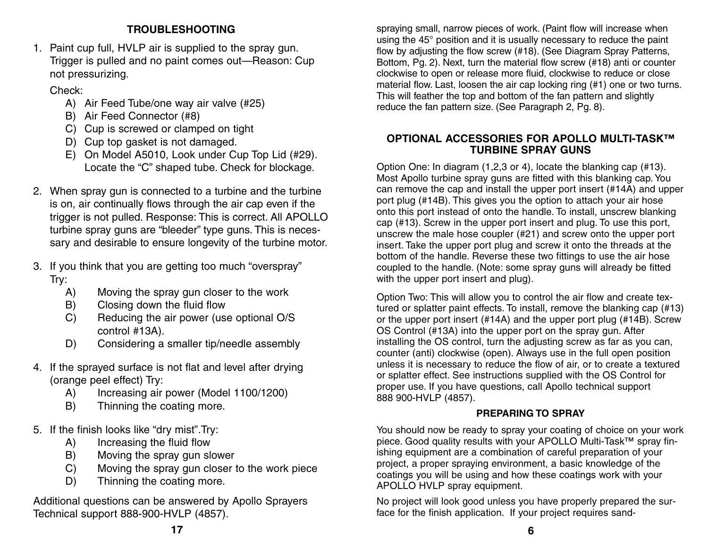## **TROUBLESHOOTING**

1. Paint cup full, HVLP air is supplied to the spray gun. Trigger is pulled and no paint comes out—Reason: Cup not pressurizing.

Check:

- A) Air Feed Tube/one way air valve (#25)
- B) Air Feed Connector (#8)
- C) Cup is screwed or clamped on tight
- D) Cup top gasket is not damaged.
- E) On Model A5010, Look under Cup Top Lid (#29). Locate the "C" shaped tube. Check for blockage.
- 2. When spray gun is connected to a turbine and the turbine is on, air continually flows through the air cap even if the trigger is not pulled. Response: This is correct. All APOLLO turbine spray guns are "bleeder" type guns. This is necessary and desirable to ensure longevity of the turbine motor.
- 3. If you think that you are getting too much "overspray" Try:
	- A) Moving the spray gun closer to the work
	- B) Closing down the fluid flow
	- C) Reducing the air power (use optional O/S control #13A).
	- D) Considering a smaller tip/needle assembly
- 4. If the sprayed surface is not flat and level after drying (orange peel effect) Try:
	- A) Increasing air power (Model 1100/1200)
	- B) Thinning the coating more.
- 5. If the finish looks like "dry mist".Try:
	- A) Increasing the fluid flow
	- B) Moving the spray gun slower
	- C) Moving the spray gun closer to the work piece
	- D) Thinning the coating more.

Additional questions can be answered by Apollo Sprayers Technical support 888-900-HVLP (4857).

spraying small, narrow pieces of work. (Paint flow will increase when using the 45° position and it is usually necessary to reduce the paint flow by adjusting the flow screw (#18). (See Diagram Spray Patterns, Bottom, Pg. 2). Next, turn the material flow screw (#18) anti or counter clockwise to open or release more fluid, clockwise to reduce or close material flow. Last, loosen the air cap locking ring (#1) one or two turns. This will feather the top and bottom of the fan pattern and slightly reduce the fan pattern size. (See Paragraph 2, Pg. 8).

#### **OPTIONAL ACCESSORIES FOR APOLLO MULTI-TASK™ TURBINE SPRAY GUNS**

Option One: In diagram (1,2,3 or 4), locate the blanking cap (#13). Most Apollo turbine spray guns are fitted with this blanking cap. You can remove the cap and install the upper port insert (#14A) and upper port plug (#14B). This gives you the option to attach your air hose onto this port instead of onto the handle. To install, unscrew blanking cap (#13). Screw in the upper port insert and plug. To use this port, unscrew the male hose coupler (#21) and screw onto the upper port insert. Take the upper port plug and screw it onto the threads at the bottom of the handle. Reverse these two fittings to use the air hose coupled to the handle. (Note: some spray guns will already be fitted with the upper port insert and plug).

Option Two: This will allow you to control the air flow and create textured or splatter paint effects. To install, remove the blanking cap (#13) or the upper port insert (#14A) and the upper port plug (#14B). Screw OS Control (#13A) into the upper port on the spray gun. After installing the OS control, turn the adjusting screw as far as you can, counter (anti) clockwise (open). Always use in the full open position unless it is necessary to reduce the flow of air, or to create a textured or splatter effect. See instructions supplied with the OS Control for proper use. If you have questions, call Apollo technical support 888 900-HVLP (4857).

## **PREPARING TO SPRAY**

You should now be ready to spray your coating of choice on your work piece. Good quality results with your APOLLO Multi-Task™ spray finishing equipment are a combination of careful preparation of your project, a proper spraying environment, a basic knowledge of the coatings you will be using and how these coatings work with your APOLLO HVLP spray equipment.

No project will look good unless you have properly prepared the surface for the finish application. If your project requires sand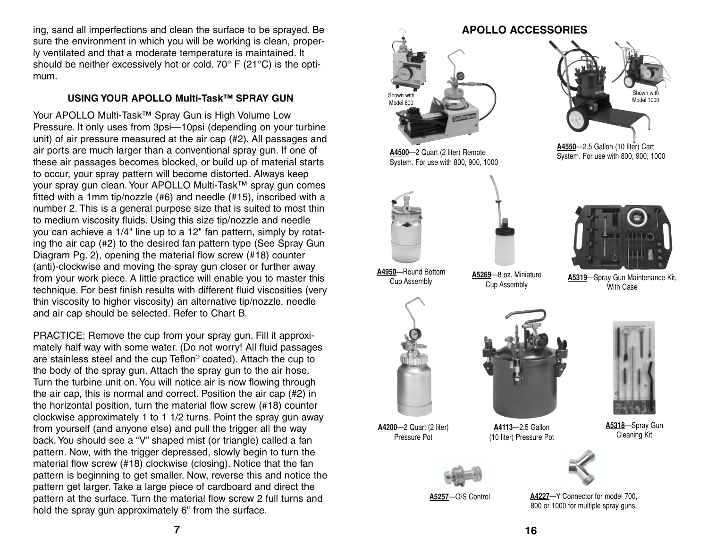ing, sand all imperfections and clean the surface to be sprayed. Be sure the environment in which you will be working is clean, properly ventilated and that a moderate temperature is maintained. It should be neither excessively hot or cold. 70° F (21°C) is the optimum.

#### **USING YOUR APOLLO Multi-Task™ SPRAY GUN**

Your APOLLO Multi-Task™ Spray Gun is High Volume Low Pressure. It only uses from 3psi—10psi (depending on your turbine unit) of air pressure measured at the air cap (#2). All passages and air ports are much larger than a conventional spray gun. If one of these air passages becomes blocked, or build up of material starts to occur, your spray pattern will become distorted. Always keep your spray gun clean. Your APOLLO Multi-Task™ spray gun comes fitted with a 1mm tip/nozzle (#6) and needle (#15), inscribed with a number 2. This is a general purpose size that is suited to most thin to medium viscosity fluids. Using this size tip/nozzle and needle you can achieve a 1/4" line up to a 12" fan pattern, simply by rotating the air cap (#2) to the desired fan pattern type (See Spray Gun Diagram Pg. 2), opening the material flow screw (#18) counter (anti)-clockwise and moving the spray gun closer or further away from your work piece. A little practice will enable you to master this technique. For best finish results with different fluid viscosities (very thin viscosity to higher viscosity) an alternative tip/nozzle, needle and air cap should be selected. Refer to Chart B.

PRACTICE: Remove the cup from your spray gun. Fill it approximately half way with some water. (Do not worry! All fluid passages are stainless steel and the cup Teflon® coated). Attach the cup to the body of the spray gun. Attach the spray gun to the air hose. Turn the turbine unit on. You will notice air is now flowing through the air cap, this is normal and correct. Position the air cap (#2) in the horizontal position, turn the material flow screw (#18) counter clockwise approximately 1 to 1 1/2 turns. Point the spray gun away from yourself (and anyone else) and pull the trigger all the way back. You should see a "V" shaped mist (or triangle) called a fan pattern. Now, with the trigger depressed, slowly begin to turn the material flow screw (#18) clockwise (closing). Notice that the fan pattern is beginning to get smaller. Now, reverse this and notice the pattern get larger. Take a large piece of cardboard and direct the pattern at the surface. Turn the material flow screw 2 full turns and hold the spray gun approximately 6" from the surface.

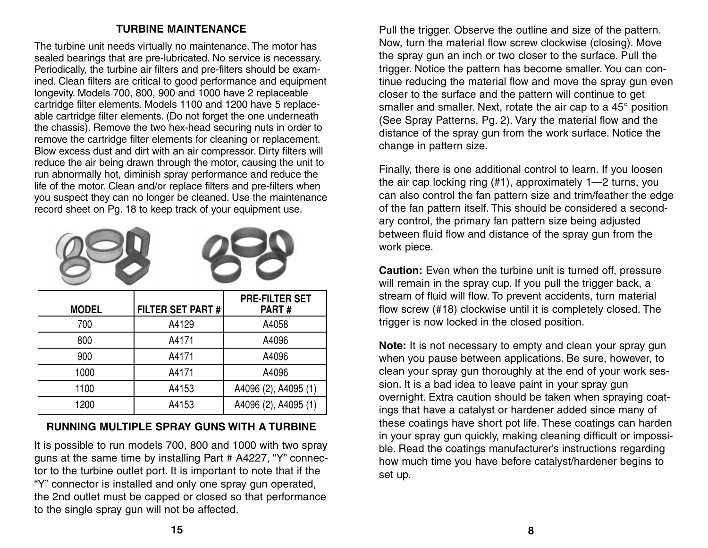## **TURBINE MAINTENANCE**

The turbine unit needs virtually no maintenance. The motor has sealed bearings that are pre-lubricated. No service is necessary. Periodically, the turbine air filters and pre-filters should be examined. Clean filters are critical to good performance and equipment longevity. Models 700, 800, 900 and 1000 have 2 replaceable cartridge filter elements. Models 1100 and 1200 have 5 replaceable cartridge filter elements. (Do not forget the one underneath the chassis). Remove the two hex-head securing nuts in order to remove the cartridge filter elements for cleaning or replacement. Blow excess dust and dirt with an air compressor. Dirty filters will reduce the air being drawn through the motor, causing the unit to run abnormally hot, diminish spray performance and reduce the life of the motor. Clean and/or replace filters and pre-filters when you suspect they can no longer be cleaned. Use the maintenance record sheet on Pg. 18 to keep track of your equipment use.



| <b>MODEL</b> | <b>FILTER SET PART#</b> | <b>PRE-FILTER SET</b><br>PART# |
|--------------|-------------------------|--------------------------------|
| 700          | A4129                   | A4058                          |
| 800          | A4171                   | A4096                          |
| 900          | A4171                   | A4096                          |
| 1000         | A4171                   | A4096                          |
| 1100         | A4153                   | A4096 (2), A4095 (1)           |
| 1200         | A4153                   | A4096 (2), A4095 (1)           |

## **RUNNING MULTIPLE SPRAY GUNS WITH A TURBINE**

It is possible to run models 700, 800 and 1000 with two spray guns at the same time by installing Part # A4227, "Y" connector to the turbine outlet port. It is important to note that if the "Y" connector is installed and only one spray gun operated, the 2nd outlet must be capped or closed so that performance to the single spray gun will not be affected.

Pull the trigger. Observe the outline and size of the pattern. Now, turn the material flow screw clockwise (closing). Move the spray gun an inch or two closer to the surface. Pull the trigger. Notice the pattern has become smaller. You can continue reducing the material flow and move the spray gun even closer to the surface and the pattern will continue to get smaller and smaller. Next, rotate the air cap to a 45° position (See Spray Patterns, Pg. 2). Vary the material flow and the distance of the spray gun from the work surface. Notice the change in pattern size.

Finally, there is one additional control to learn. If you loosen the air cap locking ring (#1), approximately 1—2 turns, you can also control the fan pattern size and trim/feather the edge of the fan pattern itself. This should be considered a secondary control, the primary fan pattern size being adjusted between fluid flow and distance of the spray gun from the work piece.

**Caution:** Even when the turbine unit is turned off, pressure will remain in the spray cup. If you pull the trigger back, a stream of fluid will flow. To prevent accidents, turn material flow screw (#18) clockwise until it is completely closed. The trigger is now locked in the closed position.

**Note:** It is not necessary to empty and clean your spray gun when you pause between applications. Be sure, however, to clean your spray gun thoroughly at the end of your work session. It is a bad idea to leave paint in your spray gun overnight. Extra caution should be taken when spraying coatings that have a catalyst or hardener added since many of these coatings have short pot life. These coatings can harden in your spray gun quickly, making cleaning difficult or impossible. Read the coatings manufacturer's instructions regarding how much time you have before catalyst/hardener begins to set up.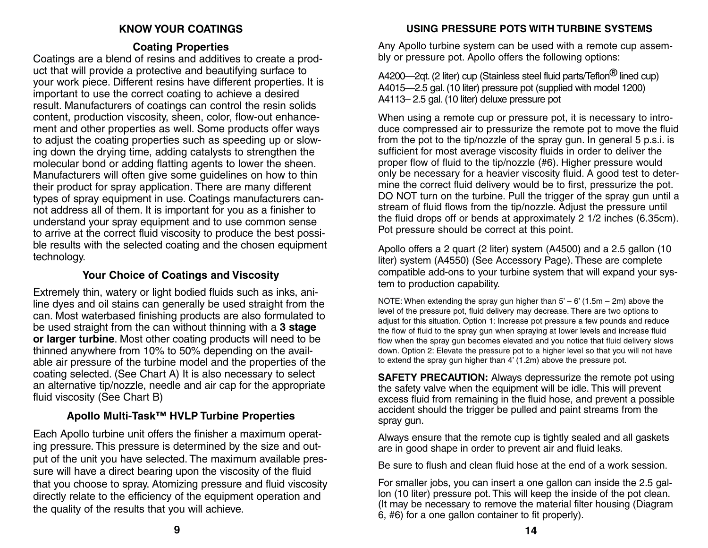## **KNOW YOUR COATINGS**

## **Coating Properties**

Coatings are a blend of resins and additives to create a product that will provide a protective and beautifying surface to your work piece. Different resins have different properties. It is important to use the correct coating to achieve a desired result. Manufacturers of coatings can control the resin solids content, production viscosity, sheen, color, flow-out enhancement and other properties as well. Some products offer ways to adjust the coating properties such as speeding up or slowing down the drying time, adding catalysts to strengthen the molecular bond or adding flatting agents to lower the sheen. Manufacturers will often give some guidelines on how to thin their product for spray application. There are many different types of spray equipment in use. Coatings manufacturers cannot address all of them. It is important for you as a finisher to understand your spray equipment and to use common sense to arrive at the correct fluid viscosity to produce the best possible results with the selected coating and the chosen equipment technology.

## **Your Choice of Coatings and Viscosity**

Extremely thin, watery or light bodied fluids such as inks, aniline dyes and oil stains can generally be used straight from the can. Most waterbased finishing products are also formulated to be used straight from the can without thinning with a **3 stage or larger turbine**. Most other coating products will need to be thinned anywhere from 10% to 50% depending on the available air pressure of the turbine model and the properties of the coating selected. (See Chart A) It is also necessary to select an alternative tip/nozzle, needle and air cap for the appropriate fluid viscosity (See Chart B)

## **Apollo Multi-Task™ HVLP Turbine Properties**

Each Apollo turbine unit offers the finisher a maximum operating pressure. This pressure is determined by the size and output of the unit you have selected. The maximum available pressure will have a direct bearing upon the viscosity of the fluid that you choose to spray. Atomizing pressure and fluid viscosity directly relate to the efficiency of the equipment operation and the quality of the results that you will achieve.

## **USING PRESSURE POTS WITH TURBINE SYSTEMS**

Any Apollo turbine system can be used with a remote cup assembly or pressure pot. Apollo offers the following options:

A4200—2qt. (2 liter) cup (Stainless steel fluid parts/Teflon<sup>®</sup> lined cup) A4015—2.5 gal. (10 liter) pressure pot (supplied with model 1200) A4113– 2.5 gal. (10 liter) deluxe pressure pot

When using a remote cup or pressure pot, it is necessary to introduce compressed air to pressurize the remote pot to move the fluid from the pot to the tip/nozzle of the spray gun. In general 5 p.s.i. is sufficient for most average viscosity fluids in order to deliver the proper flow of fluid to the tip/nozzle (#6). Higher pressure would only be necessary for a heavier viscosity fluid. A good test to determine the correct fluid delivery would be to first, pressurize the pot. DO NOT turn on the turbine. Pull the trigger of the spray gun until a stream of fluid flows from the tip/nozzle. Adjust the pressure until the fluid drops off or bends at approximately 2 1/2 inches (6.35cm). Pot pressure should be correct at this point.

Apollo offers a 2 quart (2 liter) system (A4500) and a 2.5 gallon (10 liter) system (A4550) (See Accessory Page). These are complete compatible add-ons to your turbine system that will expand your system to production capability.

NOTE: When extending the spray gun higher than  $5' - 6'$  (1.5m – 2m) above the level of the pressure pot, fluid delivery may decrease. There are two options to adjust for this situation. Option 1: Increase pot pressure a few pounds and reduce the flow of fluid to the spray gun when spraying at lower levels and increase fluid flow when the spray gun becomes elevated and you notice that fluid delivery slows down. Option 2: Elevate the pressure pot to a higher level so that you will not have to extend the spray gun higher than 4' (1.2m) above the pressure pot.

**SAFETY PRECAUTION:** Always depressurize the remote pot using the safety valve when the equipment will be idle. This will prevent excess fluid from remaining in the fluid hose, and prevent a possible accident should the trigger be pulled and paint streams from the spray gun.

Always ensure that the remote cup is tightly sealed and all gaskets are in good shape in order to prevent air and fluid leaks.

Be sure to flush and clean fluid hose at the end of a work session.

For smaller jobs, you can insert a one gallon can inside the 2.5 gallon (10 liter) pressure pot. This will keep the inside of the pot clean. (It may be necessary to remove the material filter housing (Diagram 6, #6) for a one gallon container to fit properly).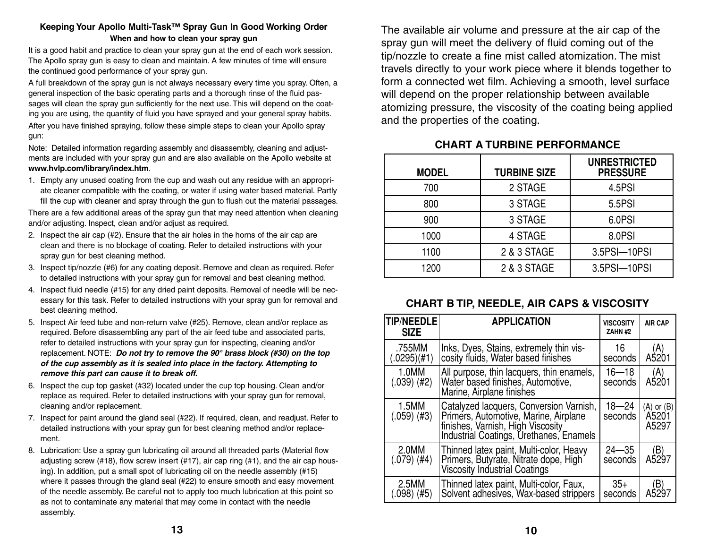#### **Keeping Your Apollo Multi-Task™ Spray Gun In Good Working Order When and how to clean your spray gun**

It is a good habit and practice to clean your spray gun at the end of each work session. The Apollo spray gun is easy to clean and maintain. A few minutes of time will ensure the continued good performance of your spray gun.

A full breakdown of the spray gun is not always necessary every time you spray. Often, a general inspection of the basic operating parts and a thorough rinse of the fluid passages will clean the spray gun sufficiently for the next use. This will depend on the coating you are using, the quantity of fluid you have sprayed and your general spray habits. After you have finished spraying, follow these simple steps to clean your Apollo spray gun:

Note: Detailed information regarding assembly and disassembly, cleaning and adjustments are included with your spray gun and are also available on the Apollo website at **www.hvlp.com/library/index.htm**.

1. Empty any unused coating from the cup and wash out any residue with an appropriate cleaner compatible with the coating, or water if using water based material. Partly fill the cup with cleaner and spray through the gun to flush out the material passages.

There are a few additional areas of the spray gun that may need attention when cleaning and/or adjusting. Inspect, clean and/or adjust as required.

- 2. Inspect the air cap (#2). Ensure that the air holes in the horns of the air cap are clean and there is no blockage of coating. Refer to detailed instructions with your spray gun for best cleaning method.
- 3. Inspect tip/nozzle (#6) for any coating deposit. Remove and clean as required. Refer to detailed instructions with your spray gun for removal and best cleaning method.
- 4. Inspect fluid needle (#15) for any dried paint deposits. Removal of needle will be necessary for this task. Refer to detailed instructions with your spray gun for removal and best cleaning method.
- 5. Inspect Air feed tube and non-return valve (#25). Remove, clean and/or replace as required. Before disassembling any part of the air feed tube and associated parts, refer to detailed instructions with your spray gun for inspecting, cleaning and/or replacement. NOTE: *Do not try to remove the 90° brass block (#30) on the top of the cup assembly as it is sealed into place in the factory. Attempting to remove this part can cause it to break off.*
- 6. Inspect the cup top gasket (#32) located under the cup top housing. Clean and/or replace as required. Refer to detailed instructions with your spray gun for removal, cleaning and/or replacement.
- 7. Inspect for paint around the gland seal (#22). If required, clean, and readjust. Refer to detailed instructions with your spray gun for best cleaning method and/or replacement.
- 8. Lubrication: Use a spray gun lubricating oil around all threaded parts (Material flow adjusting screw (#18), flow screw insert (#17), air cap ring (#1), and the air cap housing). In addition, put a small spot of lubricating oil on the needle assembly (#15) where it passes through the gland seal (#22) to ensure smooth and easy movement of the needle assembly. Be careful not to apply too much lubrication at this point so as not to contaminate any material that may come in contact with the needle assembly.

The available air volume and pressure at the air cap of the spray gun will meet the delivery of fluid coming out of the tip/nozzle to create a fine mist called atomization. The mist travels directly to your work piece where it blends together to form a connected wet film. Achieving a smooth, level surface will depend on the proper relationship between available atomizing pressure, the viscosity of the coating being applied and the properties of the coating.

#### **CHART A TURBINE PERFORMANCE**

| <b>MODEL</b> | <b>TURBINE SIZE</b> | <b>UNRESTRICTED</b><br><b>PRESSURE</b> |
|--------------|---------------------|----------------------------------------|
| 700          | 2 STAGE             | 4.5PSI                                 |
| 800          | 3 STAGE             | 5.5PSI                                 |
| 900          | 3 STAGE             | 6.0PSI                                 |
| 1000         | 4 STAGE             | 8.0PSI                                 |
| 1100         | 2 & 3 STAGE         | 3.5PSI-10PSI                           |
| 1200         | 2 & 3 STAGE         | 3.5PSI-10PSI                           |

#### **CHART B TIP, NEEDLE, AIR CAPS & VISCOSITY**

| <b>TIP/NEEDLE</b><br><b>SIZE</b> | <b>APPLICATION</b>                                                                                                                                               | <b>VISCOSITY</b><br>ZAHN #2 | <b>AIR CAP</b>                   |
|----------------------------------|------------------------------------------------------------------------------------------------------------------------------------------------------------------|-----------------------------|----------------------------------|
| .755MM<br>(.0295)(#1)            | Inks, Dyes, Stains, extremely thin vis-<br>cosity fluids, Water based finishes                                                                                   | 16<br>seconds               | (A)<br>A5201                     |
| 1.0MM<br>$(.039)$ (#2)           | All purpose, thin lacquers, thin enamels,<br>Water based finishes, Automotive,<br>Marine, Airplane finishes                                                      | $16 - 18$<br>seconds        | (A)<br>A5201                     |
| 1.5MM<br>$(.059)$ (#3)           | Catalyzed lacquers, Conversion Varnish,<br>Primers, Automotive, Marine, Airplane<br>finishes, Varnish, High Viscosity<br>Industrial Coatings, Urethanes, Enamels | $18 - 24$<br>seconds        | $(A)$ or $(B)$<br>A5201<br>A5297 |
| 2.0MM<br>(.079) (#4)             | Thinned latex paint, Multi-color, Heavy<br>Primers, Butyrate, Nitrate dope, High<br><b>Viscosity Industrial Coatings</b>                                         | $24 - 35$<br>seconds        | (B)<br>A5297                     |
| 2.5MM<br>(#5)<br>(.098)          | Thinned latex paint, Multi-color, Faux,<br>Solvent adhesives, Wax-based strippers                                                                                | $35+$<br>seconds            | B)<br>A529                       |